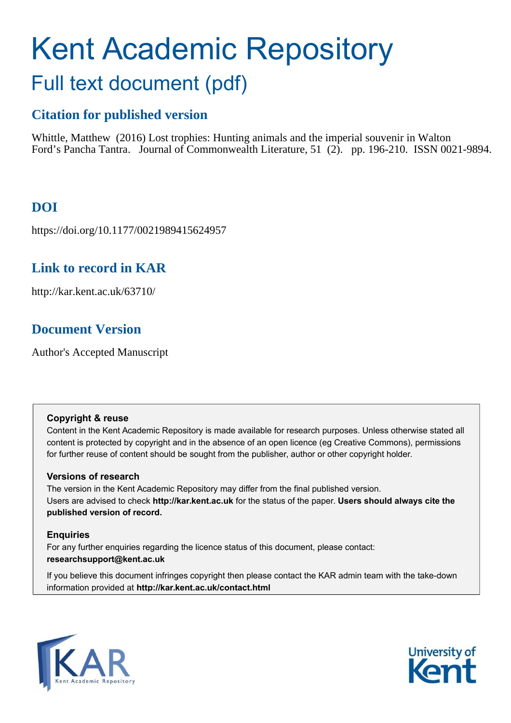# Kent Academic Repository Full text document (pdf)

# **Citation for published version**

Whittle, Matthew (2016) Lost trophies: Hunting animals and the imperial souvenir in Walton Ford's Pancha Tantra. Journal of Commonwealth Literature, 51 (2). pp. 196-210. ISSN 0021-9894.

# **DOI**

https://doi.org/10.1177/0021989415624957

# **Link to record in KAR**

http://kar.kent.ac.uk/63710/

# **Document Version**

Author's Accepted Manuscript

## **Copyright & reuse**

Content in the Kent Academic Repository is made available for research purposes. Unless otherwise stated all content is protected by copyright and in the absence of an open licence (eg Creative Commons), permissions for further reuse of content should be sought from the publisher, author or other copyright holder.

## **Versions of research**

The version in the Kent Academic Repository may differ from the final published version. Users are advised to check **http://kar.kent.ac.uk** for the status of the paper. **Users should always cite the published version of record.**

## **Enquiries**

For any further enquiries regarding the licence status of this document, please contact: **researchsupport@kent.ac.uk**

If you believe this document infringes copyright then please contact the KAR admin team with the take-down information provided at **http://kar.kent.ac.uk/contact.html**



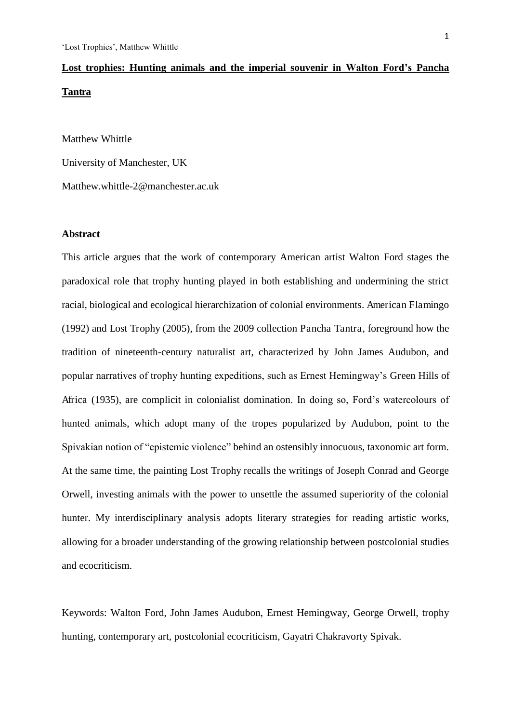# **Lost trophies: Hunting animals and the imperial souvenir in Walton Ford's Pancha Tantra**

Matthew Whittle

University of Manchester, UK

Matthew.whittle-2@manchester.ac.uk

#### **Abstract**

This article argues that the work of contemporary American artist Walton Ford stages the paradoxical role that trophy hunting played in both establishing and undermining the strict racial, biological and ecological hierarchization of colonial environments. American Flamingo (1992) and Lost Trophy (2005), from the 2009 collection Pancha Tantra, foreground how the tradition of nineteenth-century naturalist art, characterized by John James Audubon, and popular narratives of trophy hunting expeditions, such as Ernest Hemingway's Green Hills of Africa (1935), are complicit in colonialist domination. In doing so, Ford's watercolours of hunted animals, which adopt many of the tropes popularized by Audubon, point to the Spivakian notion of "epistemic violence" behind an ostensibly innocuous, taxonomic art form. At the same time, the painting Lost Trophy recalls the writings of Joseph Conrad and George Orwell, investing animals with the power to unsettle the assumed superiority of the colonial hunter. My interdisciplinary analysis adopts literary strategies for reading artistic works, allowing for a broader understanding of the growing relationship between postcolonial studies and ecocriticism.

Keywords: Walton Ford, John James Audubon, Ernest Hemingway, George Orwell, trophy hunting, contemporary art, postcolonial ecocriticism, Gayatri Chakravorty Spivak.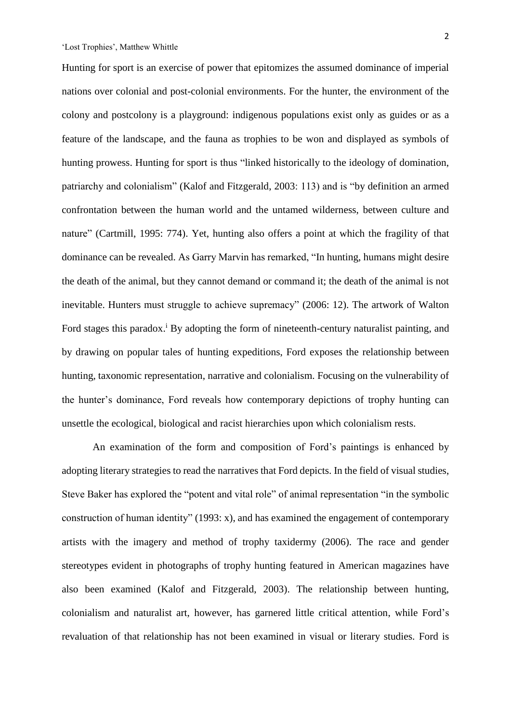Hunting for sport is an exercise of power that epitomizes the assumed dominance of imperial nations over colonial and post-colonial environments. For the hunter, the environment of the colony and postcolony is a playground: indigenous populations exist only as guides or as a feature of the landscape, and the fauna as trophies to be won and displayed as symbols of hunting prowess. Hunting for sport is thus "linked historically to the ideology of domination, patriarchy and colonialism" (Kalof and Fitzgerald, 2003: 113) and is "by definition an armed confrontation between the human world and the untamed wilderness, between culture and nature" (Cartmill, 1995: 774). Yet, hunting also offers a point at which the fragility of that dominance can be revealed. As Garry Marvin has remarked, "In hunting, humans might desire the death of the animal, but they cannot demand or command it; the death of the animal is not inevitable. Hunters must struggle to achieve supremacy" (2006: 12). The artwork of Walton Ford stages this paradox.<sup>i</sup> By adopting the form of nineteenth-century naturalist painting, and by drawing on popular tales of hunting expeditions, Ford exposes the relationship between hunting, taxonomic representation, narrative and colonialism. Focusing on the vulnerability of the hunter's dominance, Ford reveals how contemporary depictions of trophy hunting can unsettle the ecological, biological and racist hierarchies upon which colonialism rests.

 An examination of the form and composition of Ford's paintings is enhanced by adopting literary strategies to read the narratives that Ford depicts. In the field of visual studies, Steve Baker has explored the "potent and vital role" of animal representation "in the symbolic construction of human identity" (1993: x), and has examined the engagement of contemporary artists with the imagery and method of trophy taxidermy (2006). The race and gender stereotypes evident in photographs of trophy hunting featured in American magazines have also been examined (Kalof and Fitzgerald, 2003). The relationship between hunting, colonialism and naturalist art, however, has garnered little critical attention, while Ford's revaluation of that relationship has not been examined in visual or literary studies. Ford is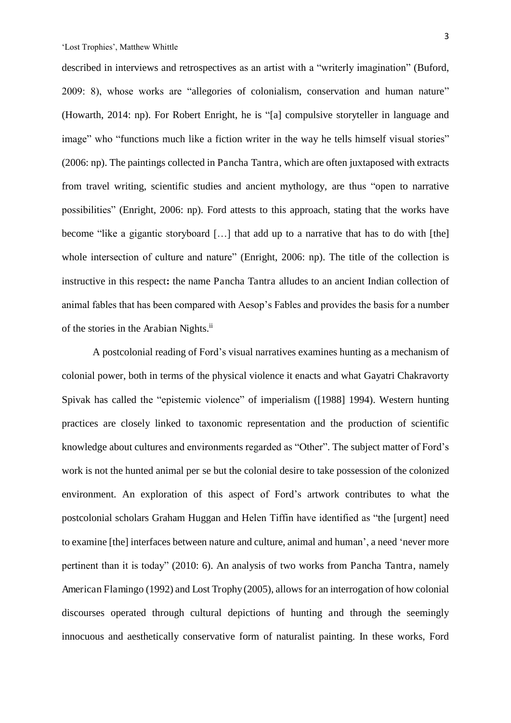described in interviews and retrospectives as an artist with a "writerly imagination" (Buford, 2009: 8), whose works are "allegories of colonialism, conservation and human nature" (Howarth, 2014: np). For Robert Enright, he is "[a] compulsive storyteller in language and image" who "functions much like a fiction writer in the way he tells himself visual stories" (2006: np). The paintings collected in Pancha Tantra, which are often juxtaposed with extracts from travel writing, scientific studies and ancient mythology, are thus "open to narrative possibilities" (Enright, 2006: np). Ford attests to this approach, stating that the works have become "like a gigantic storyboard […] that add up to a narrative that has to do with [the] whole intersection of culture and nature" (Enright, 2006: np). The title of the collection is instructive in this respect**:** the name Pancha Tantra alludes to an ancient Indian collection of animal fables that has been compared with Aesop's Fables and provides the basis for a number of the stories in the Arabian Nights.<sup>ii</sup>

A postcolonial reading of Ford's visual narratives examines hunting as a mechanism of colonial power, both in terms of the physical violence it enacts and what Gayatri Chakravorty Spivak has called the "epistemic violence" of imperialism ([1988] 1994). Western hunting practices are closely linked to taxonomic representation and the production of scientific knowledge about cultures and environments regarded as "Other". The subject matter of Ford's work is not the hunted animal per se but the colonial desire to take possession of the colonized environment. An exploration of this aspect of Ford's artwork contributes to what the postcolonial scholars Graham Huggan and Helen Tiffin have identified as "the [urgent] need to examine [the] interfaces between nature and culture, animal and human', a need 'never more pertinent than it is today" (2010: 6). An analysis of two works from Pancha Tantra, namely American Flamingo (1992) and Lost Trophy (2005), allows for an interrogation of how colonial discourses operated through cultural depictions of hunting and through the seemingly innocuous and aesthetically conservative form of naturalist painting. In these works, Ford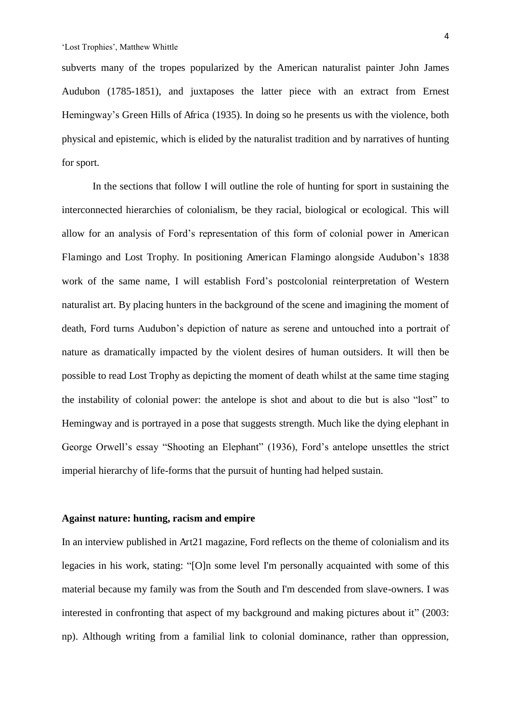subverts many of the tropes popularized by the American naturalist painter John James Audubon (1785-1851), and juxtaposes the latter piece with an extract from Ernest Hemingway's Green Hills of Africa (1935). In doing so he presents us with the violence, both physical and epistemic, which is elided by the naturalist tradition and by narratives of hunting for sport.

In the sections that follow I will outline the role of hunting for sport in sustaining the interconnected hierarchies of colonialism, be they racial, biological or ecological. This will allow for an analysis of Ford's representation of this form of colonial power in American Flamingo and Lost Trophy. In positioning American Flamingo alongside Audubon's 1838 work of the same name, I will establish Ford's postcolonial reinterpretation of Western naturalist art. By placing hunters in the background of the scene and imagining the moment of death, Ford turns Audubon's depiction of nature as serene and untouched into a portrait of nature as dramatically impacted by the violent desires of human outsiders. It will then be possible to read Lost Trophy as depicting the moment of death whilst at the same time staging the instability of colonial power: the antelope is shot and about to die but is also "lost" to Hemingway and is portrayed in a pose that suggests strength. Much like the dying elephant in George Orwell's essay "Shooting an Elephant" (1936), Ford's antelope unsettles the strict imperial hierarchy of life-forms that the pursuit of hunting had helped sustain.

### **Against nature: hunting, racism and empire**

In an interview published in Art21 magazine, Ford reflects on the theme of colonialism and its legacies in his work, stating: "[O]n some level I'm personally acquainted with some of this material because my family was from the South and I'm descended from slave-owners. I was interested in confronting that aspect of my background and making pictures about it" (2003: np). Although writing from a familial link to colonial dominance, rather than oppression,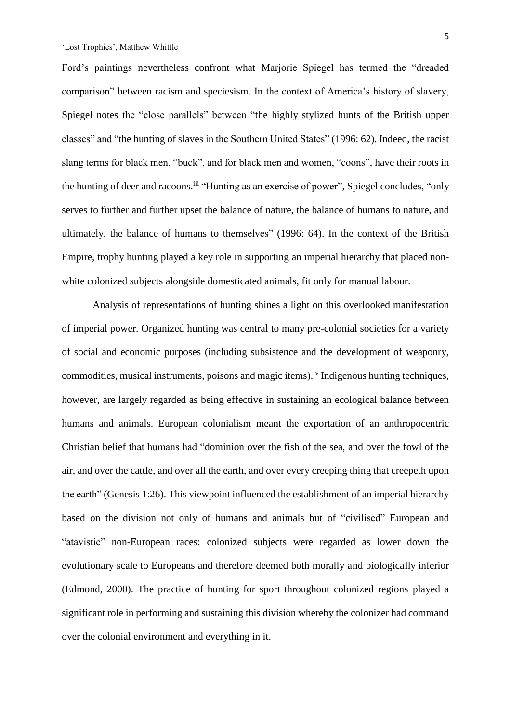Ford's paintings nevertheless confront what Marjorie Spiegel has termed the "dreaded comparison" between racism and speciesism. In the context of America's history of slavery, Spiegel notes the "close parallels" between "the highly stylized hunts of the British upper classes" and "the hunting of slaves in the Southern United States" (1996: 62). Indeed, the racist slang terms for black men, "buck", and for black men and women, "coons", have their roots in the hunting of deer and racoons.<sup>iii</sup> "Hunting as an exercise of power", Spiegel concludes, "only serves to further and further upset the balance of nature, the balance of humans to nature, and ultimately, the balance of humans to themselves" (1996: 64). In the context of the British Empire, trophy hunting played a key role in supporting an imperial hierarchy that placed nonwhite colonized subjects alongside domesticated animals, fit only for manual labour.

Analysis of representations of hunting shines a light on this overlooked manifestation of imperial power. Organized hunting was central to many pre-colonial societies for a variety of social and economic purposes (including subsistence and the development of weaponry, commodities, musical instruments, poisons and magic items).iv Indigenous hunting techniques, however, are largely regarded as being effective in sustaining an ecological balance between humans and animals. European colonialism meant the exportation of an anthropocentric Christian belief that humans had "dominion over the fish of the sea, and over the fowl of the air, and over the cattle, and over all the earth, and over every creeping thing that creepeth upon the earth" (Genesis 1:26). This viewpoint influenced the establishment of an imperial hierarchy based on the division not only of humans and animals but of "civilised" European and "atavistic" non-European races: colonized subjects were regarded as lower down the evolutionary scale to Europeans and therefore deemed both morally and biologically inferior (Edmond, 2000). The practice of hunting for sport throughout colonized regions played a significant role in performing and sustaining this division whereby the colonizer had command over the colonial environment and everything in it.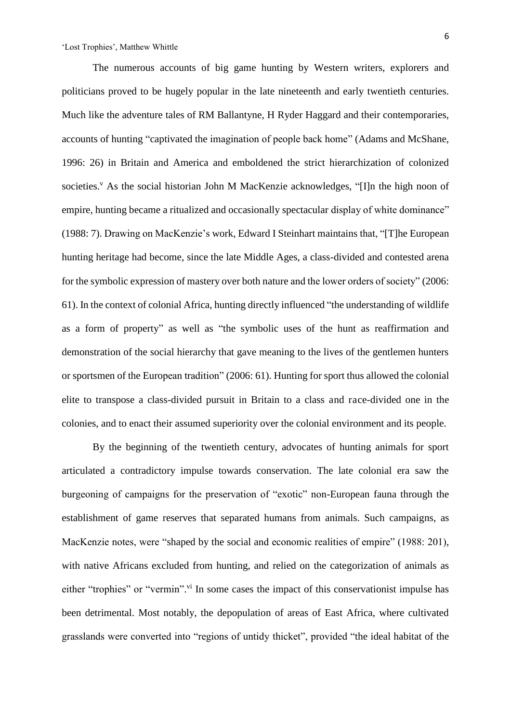The numerous accounts of big game hunting by Western writers, explorers and politicians proved to be hugely popular in the late nineteenth and early twentieth centuries. Much like the adventure tales of RM Ballantyne, H Ryder Haggard and their contemporaries, accounts of hunting "captivated the imagination of people back home" (Adams and McShane, 1996: 26) in Britain and America and emboldened the strict hierarchization of colonized societies.<sup>v</sup> As the social historian John M MacKenzie acknowledges, "[I]n the high noon of empire, hunting became a ritualized and occasionally spectacular display of white dominance" (1988: 7). Drawing on MacKenzie's work, Edward I Steinhart maintains that, "[T]he European hunting heritage had become, since the late Middle Ages, a class-divided and contested arena for the symbolic expression of mastery over both nature and the lower orders of society" (2006: 61). In the context of colonial Africa, hunting directly influenced "the understanding of wildlife as a form of property" as well as "the symbolic uses of the hunt as reaffirmation and demonstration of the social hierarchy that gave meaning to the lives of the gentlemen hunters or sportsmen of the European tradition" (2006: 61). Hunting for sport thus allowed the colonial elite to transpose a class-divided pursuit in Britain to a class and race-divided one in the colonies, and to enact their assumed superiority over the colonial environment and its people.

By the beginning of the twentieth century, advocates of hunting animals for sport articulated a contradictory impulse towards conservation. The late colonial era saw the burgeoning of campaigns for the preservation of "exotic" non-European fauna through the establishment of game reserves that separated humans from animals. Such campaigns, as MacKenzie notes, were "shaped by the social and economic realities of empire" (1988: 201), with native Africans excluded from hunting, and relied on the categorization of animals as either "trophies" or "vermin".<sup>vi</sup> In some cases the impact of this conservationist impulse has been detrimental. Most notably, the depopulation of areas of East Africa, where cultivated grasslands were converted into "regions of untidy thicket", provided "the ideal habitat of the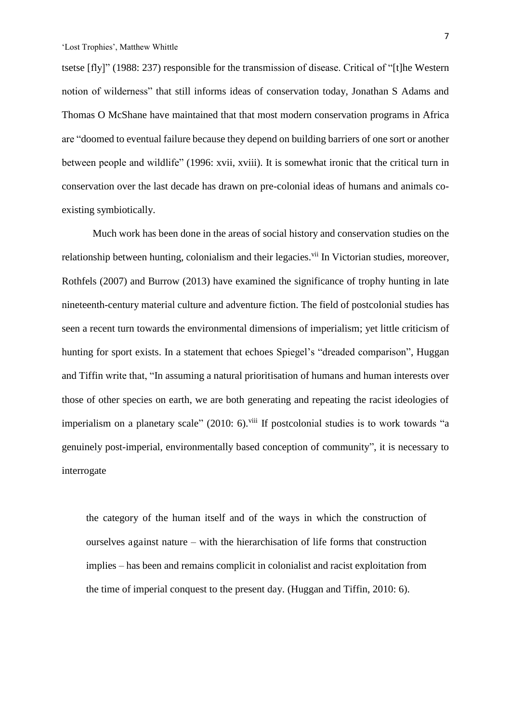tsetse [fly]" (1988: 237) responsible for the transmission of disease. Critical of "[t]he Western notion of wilderness" that still informs ideas of conservation today, Jonathan S Adams and Thomas O McShane have maintained that that most modern conservation programs in Africa are "doomed to eventual failure because they depend on building barriers of one sort or another between people and wildlife" (1996: xvii, xviii). It is somewhat ironic that the critical turn in conservation over the last decade has drawn on pre-colonial ideas of humans and animals coexisting symbiotically.

Much work has been done in the areas of social history and conservation studies on the relationship between hunting, colonialism and their legacies.<sup>vii</sup> In Victorian studies, moreover, Rothfels (2007) and Burrow (2013) have examined the significance of trophy hunting in late nineteenth-century material culture and adventure fiction. The field of postcolonial studies has seen a recent turn towards the environmental dimensions of imperialism; yet little criticism of hunting for sport exists. In a statement that echoes Spiegel's "dreaded comparison", Huggan and Tiffin write that, "In assuming a natural prioritisation of humans and human interests over those of other species on earth, we are both generating and repeating the racist ideologies of imperialism on a planetary scale"  $(2010: 6)$ .<sup>viii</sup> If postcolonial studies is to work towards "a genuinely post-imperial, environmentally based conception of community", it is necessary to interrogate

the category of the human itself and of the ways in which the construction of ourselves against nature – with the hierarchisation of life forms that construction implies – has been and remains complicit in colonialist and racist exploitation from the time of imperial conquest to the present day. (Huggan and Tiffin, 2010: 6).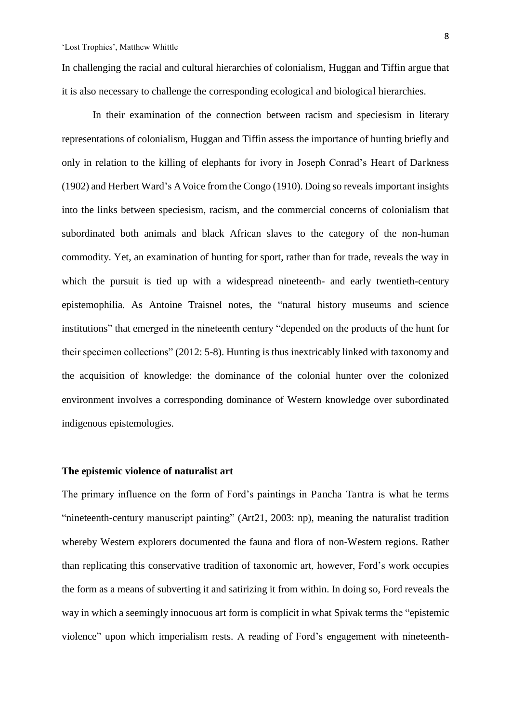In challenging the racial and cultural hierarchies of colonialism, Huggan and Tiffin argue that it is also necessary to challenge the corresponding ecological and biological hierarchies.

 In their examination of the connection between racism and speciesism in literary representations of colonialism, Huggan and Tiffin assess the importance of hunting briefly and only in relation to the killing of elephants for ivory in Joseph Conrad's Heart of Darkness (1902) and Herbert Ward's A Voice from the Congo (1910). Doing so reveals important insights into the links between speciesism, racism, and the commercial concerns of colonialism that subordinated both animals and black African slaves to the category of the non-human commodity. Yet, an examination of hunting for sport, rather than for trade, reveals the way in which the pursuit is tied up with a widespread nineteenth- and early twentieth-century epistemophilia. As Antoine Traisnel notes, the "natural history museums and science institutions" that emerged in the nineteenth century "depended on the products of the hunt for their specimen collections" (2012: 5-8). Hunting is thus inextricably linked with taxonomy and the acquisition of knowledge: the dominance of the colonial hunter over the colonized environment involves a corresponding dominance of Western knowledge over subordinated indigenous epistemologies.

## **The epistemic violence of naturalist art**

The primary influence on the form of Ford's paintings in Pancha Tantra is what he terms "nineteenth-century manuscript painting" (Art21, 2003: np), meaning the naturalist tradition whereby Western explorers documented the fauna and flora of non-Western regions. Rather than replicating this conservative tradition of taxonomic art, however, Ford's work occupies the form as a means of subverting it and satirizing it from within. In doing so, Ford reveals the way in which a seemingly innocuous art form is complicit in what Spivak terms the "epistemic violence" upon which imperialism rests. A reading of Ford's engagement with nineteenth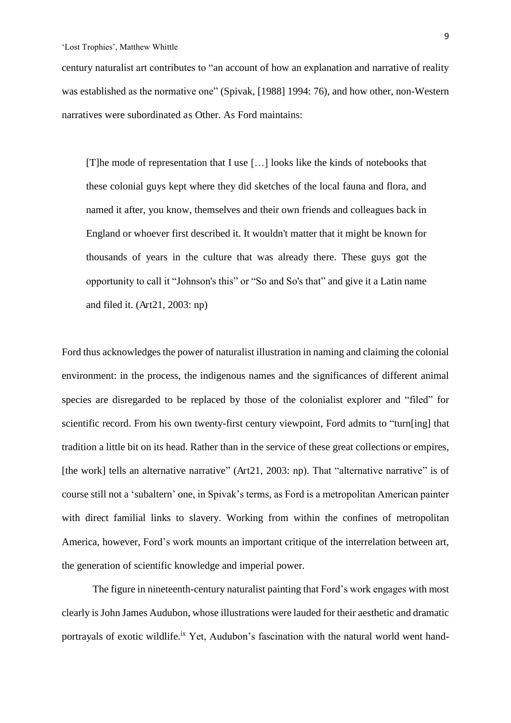century naturalist art contributes to "an account of how an explanation and narrative of reality was established as the normative one" (Spivak, [1988] 1994: 76), and how other, non-Western narratives were subordinated as Other. As Ford maintains:

[T]he mode of representation that I use […] looks like the kinds of notebooks that these colonial guys kept where they did sketches of the local fauna and flora, and named it after, you know, themselves and their own friends and colleagues back in England or whoever first described it. It wouldn't matter that it might be known for thousands of years in the culture that was already there. These guys got the opportunity to call it "Johnson's this" or "So and So's that" and give it a Latin name and filed it. (Art21, 2003: np)

Ford thus acknowledges the power of naturalist illustration in naming and claiming the colonial environment: in the process, the indigenous names and the significances of different animal species are disregarded to be replaced by those of the colonialist explorer and "filed" for scientific record. From his own twenty-first century viewpoint, Ford admits to "turn[ing] that tradition a little bit on its head. Rather than in the service of these great collections or empires, [the work] tells an alternative narrative" (Art21, 2003: np). That "alternative narrative" is of course still not a 'subaltern' one, in Spivak's terms, as Ford is a metropolitan American painter with direct familial links to slavery. Working from within the confines of metropolitan America, however, Ford's work mounts an important critique of the interrelation between art, the generation of scientific knowledge and imperial power.

The figure in nineteenth-century naturalist painting that Ford's work engages with most clearly is John James Audubon, whose illustrations were lauded for their aesthetic and dramatic portrayals of exotic wildlife.<sup>ix</sup> Yet, Audubon's fascination with the natural world went hand-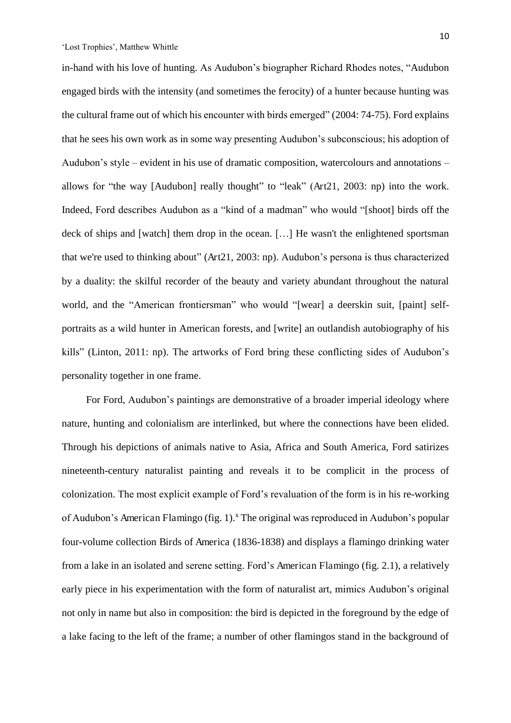10

in-hand with his love of hunting. As Audubon's biographer Richard Rhodes notes, "Audubon engaged birds with the intensity (and sometimes the ferocity) of a hunter because hunting was the cultural frame out of which his encounter with birds emerged" (2004: 74-75). Ford explains that he sees his own work as in some way presenting Audubon's subconscious; his adoption of Audubon's style – evident in his use of dramatic composition, watercolours and annotations – allows for "the way [Audubon] really thought" to "leak" (Art21, 2003: np) into the work. Indeed, Ford describes Audubon as a "kind of a madman" who would "[shoot] birds off the deck of ships and [watch] them drop in the ocean. […] He wasn't the enlightened sportsman that we're used to thinking about" (Art21, 2003: np). Audubon's persona is thus characterized by a duality: the skilful recorder of the beauty and variety abundant throughout the natural world, and the "American frontiersman" who would "[wear] a deerskin suit, [paint] selfportraits as a wild hunter in American forests, and [write] an outlandish autobiography of his kills" (Linton, 2011: np). The artworks of Ford bring these conflicting sides of Audubon's personality together in one frame.

For Ford, Audubon's paintings are demonstrative of a broader imperial ideology where nature, hunting and colonialism are interlinked, but where the connections have been elided. Through his depictions of animals native to Asia, Africa and South America, Ford satirizes nineteenth-century naturalist painting and reveals it to be complicit in the process of colonization. The most explicit example of Ford's revaluation of the form is in his re-working of Audubon's American Flamingo (fig. 1).<sup>x</sup> The original was reproduced in Audubon's popular four-volume collection Birds of America (1836-1838) and displays a flamingo drinking water from a lake in an isolated and serene setting. Ford's American Flamingo (fig. 2.1), a relatively early piece in his experimentation with the form of naturalist art, mimics Audubon's original not only in name but also in composition: the bird is depicted in the foreground by the edge of a lake facing to the left of the frame; a number of other flamingos stand in the background of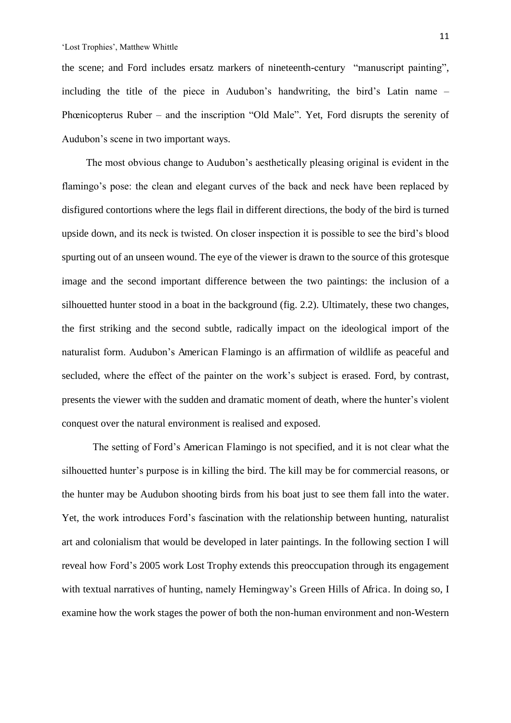the scene; and Ford includes ersatz markers of nineteenth-century "manuscript painting", including the title of the piece in Audubon's handwriting, the bird's Latin name – Phœnicopterus Ruber – and the inscription "Old Male". Yet, Ford disrupts the serenity of Audubon's scene in two important ways.

The most obvious change to Audubon's aesthetically pleasing original is evident in the flamingo's pose: the clean and elegant curves of the back and neck have been replaced by disfigured contortions where the legs flail in different directions, the body of the bird is turned upside down, and its neck is twisted. On closer inspection it is possible to see the bird's blood spurting out of an unseen wound. The eye of the viewer is drawn to the source of this grotesque image and the second important difference between the two paintings: the inclusion of a silhouetted hunter stood in a boat in the background (fig. 2.2). Ultimately, these two changes, the first striking and the second subtle, radically impact on the ideological import of the naturalist form. Audubon's American Flamingo is an affirmation of wildlife as peaceful and secluded, where the effect of the painter on the work's subject is erased. Ford, by contrast, presents the viewer with the sudden and dramatic moment of death, where the hunter's violent conquest over the natural environment is realised and exposed.

The setting of Ford's American Flamingo is not specified, and it is not clear what the silhouetted hunter's purpose is in killing the bird. The kill may be for commercial reasons, or the hunter may be Audubon shooting birds from his boat just to see them fall into the water. Yet, the work introduces Ford's fascination with the relationship between hunting, naturalist art and colonialism that would be developed in later paintings. In the following section I will reveal how Ford's 2005 work Lost Trophy extends this preoccupation through its engagement with textual narratives of hunting, namely Hemingway's Green Hills of Africa. In doing so, I examine how the work stages the power of both the non-human environment and non-Western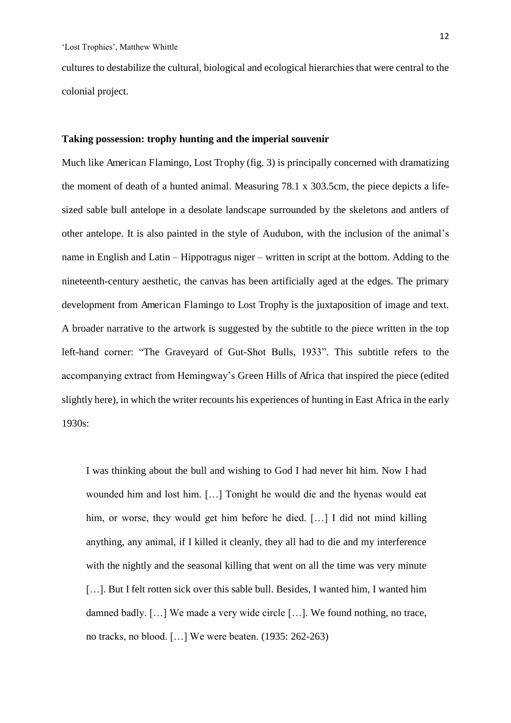cultures to destabilize the cultural, biological and ecological hierarchies that were central to the colonial project.

#### **Taking possession: trophy hunting and the imperial souvenir**

Much like American Flamingo, Lost Trophy (fig. 3) is principally concerned with dramatizing the moment of death of a hunted animal. Measuring 78.1 x 303.5cm, the piece depicts a lifesized sable bull antelope in a desolate landscape surrounded by the skeletons and antlers of other antelope. It is also painted in the style of Audubon, with the inclusion of the animal's name in English and Latin – Hippotragus niger – written in script at the bottom. Adding to the nineteenth-century aesthetic, the canvas has been artificially aged at the edges. The primary development from American Flamingo to Lost Trophy is the juxtaposition of image and text. A broader narrative to the artwork is suggested by the subtitle to the piece written in the top left-hand corner: "The Graveyard of Gut-Shot Bulls, 1933". This subtitle refers to the accompanying extract from Hemingway's Green Hills of Africa that inspired the piece (edited slightly here), in which the writer recounts his experiences of hunting in East Africa in the early 1930s:

I was thinking about the bull and wishing to God I had never hit him. Now I had wounded him and lost him. […] Tonight he would die and the hyenas would eat him, or worse, they would get him before he died. [...] I did not mind killing anything, any animal, if I killed it cleanly, they all had to die and my interference with the nightly and the seasonal killing that went on all the time was very minute [...]. But I felt rotten sick over this sable bull. Besides, I wanted him, I wanted him damned badly. […] We made a very wide circle […]. We found nothing, no trace, no tracks, no blood. […] We were beaten. (1935: 262-263)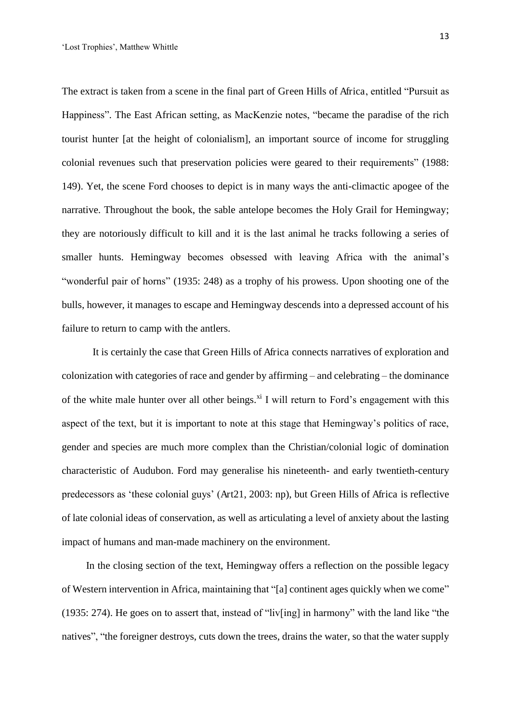The extract is taken from a scene in the final part of Green Hills of Africa, entitled "Pursuit as Happiness". The East African setting, as MacKenzie notes, "became the paradise of the rich tourist hunter [at the height of colonialism], an important source of income for struggling colonial revenues such that preservation policies were geared to their requirements" (1988: 149). Yet, the scene Ford chooses to depict is in many ways the anti-climactic apogee of the narrative. Throughout the book, the sable antelope becomes the Holy Grail for Hemingway; they are notoriously difficult to kill and it is the last animal he tracks following a series of smaller hunts. Hemingway becomes obsessed with leaving Africa with the animal's "wonderful pair of horns" (1935: 248) as a trophy of his prowess. Upon shooting one of the bulls, however, it manages to escape and Hemingway descends into a depressed account of his failure to return to camp with the antlers.

It is certainly the case that Green Hills of Africa connects narratives of exploration and colonization with categories of race and gender by affirming – and celebrating – the dominance of the white male hunter over all other beings.<sup>xi</sup> I will return to Ford's engagement with this aspect of the text, but it is important to note at this stage that Hemingway's politics of race, gender and species are much more complex than the Christian/colonial logic of domination characteristic of Audubon. Ford may generalise his nineteenth- and early twentieth-century predecessors as 'these colonial guys' (Art21, 2003: np), but Green Hills of Africa is reflective of late colonial ideas of conservation, as well as articulating a level of anxiety about the lasting impact of humans and man-made machinery on the environment.

In the closing section of the text, Hemingway offers a reflection on the possible legacy of Western intervention in Africa, maintaining that "[a] continent ages quickly when we come" (1935: 274). He goes on to assert that, instead of "liv[ing] in harmony" with the land like "the natives", "the foreigner destroys, cuts down the trees, drains the water, so that the water supply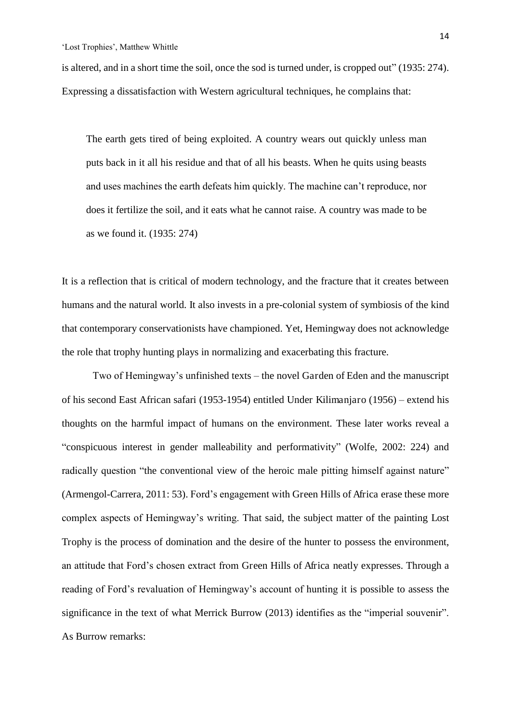is altered, and in a short time the soil, once the sod is turned under, is cropped out" (1935: 274). Expressing a dissatisfaction with Western agricultural techniques, he complains that:

The earth gets tired of being exploited. A country wears out quickly unless man puts back in it all his residue and that of all his beasts. When he quits using beasts and uses machines the earth defeats him quickly. The machine can't reproduce, nor does it fertilize the soil, and it eats what he cannot raise. A country was made to be as we found it. (1935: 274)

It is a reflection that is critical of modern technology, and the fracture that it creates between humans and the natural world. It also invests in a pre-colonial system of symbiosis of the kind that contemporary conservationists have championed. Yet, Hemingway does not acknowledge the role that trophy hunting plays in normalizing and exacerbating this fracture.

Two of Hemingway's unfinished texts – the novel Garden of Eden and the manuscript of his second East African safari (1953-1954) entitled Under Kilimanjaro (1956) – extend his thoughts on the harmful impact of humans on the environment. These later works reveal a "conspicuous interest in gender malleability and performativity" (Wolfe, 2002: 224) and radically question "the conventional view of the heroic male pitting himself against nature" (Armengol-Carrera, 2011: 53). Ford's engagement with Green Hills of Africa erase these more complex aspects of Hemingway's writing. That said, the subject matter of the painting Lost Trophy is the process of domination and the desire of the hunter to possess the environment, an attitude that Ford's chosen extract from Green Hills of Africa neatly expresses. Through a reading of Ford's revaluation of Hemingway's account of hunting it is possible to assess the significance in the text of what Merrick Burrow (2013) identifies as the "imperial souvenir". As Burrow remarks: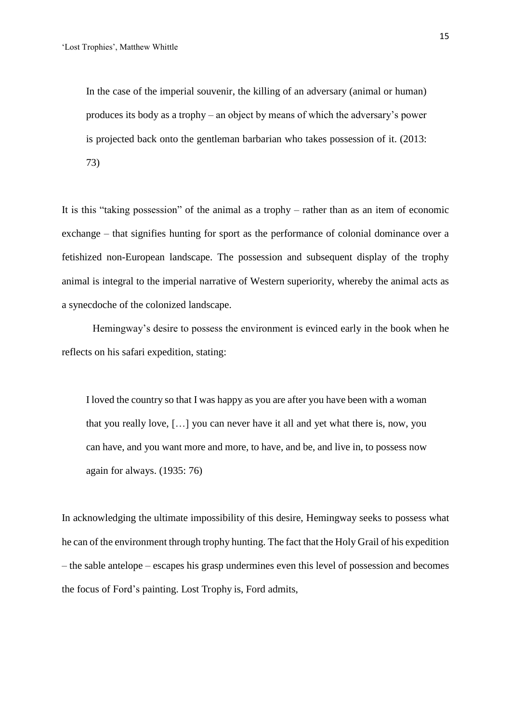In the case of the imperial souvenir, the killing of an adversary (animal or human) produces its body as a trophy – an object by means of which the adversary's power is projected back onto the gentleman barbarian who takes possession of it. (2013:

73)

It is this "taking possession" of the animal as a trophy – rather than as an item of economic exchange – that signifies hunting for sport as the performance of colonial dominance over a fetishized non-European landscape. The possession and subsequent display of the trophy animal is integral to the imperial narrative of Western superiority, whereby the animal acts as a synecdoche of the colonized landscape.

Hemingway's desire to possess the environment is evinced early in the book when he reflects on his safari expedition, stating:

I loved the country so that I was happy as you are after you have been with a woman that you really love, […] you can never have it all and yet what there is, now, you can have, and you want more and more, to have, and be, and live in, to possess now again for always. (1935: 76)

In acknowledging the ultimate impossibility of this desire, Hemingway seeks to possess what he can of the environment through trophy hunting. The fact that the Holy Grail of his expedition – the sable antelope – escapes his grasp undermines even this level of possession and becomes the focus of Ford's painting. Lost Trophy is, Ford admits,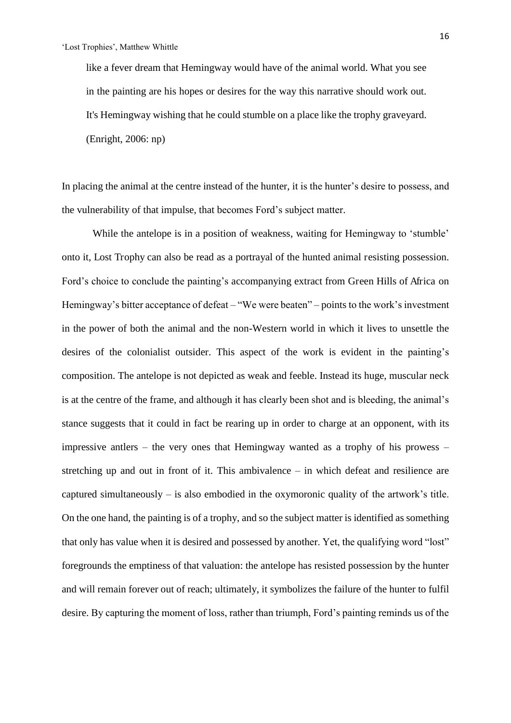like a fever dream that Hemingway would have of the animal world. What you see in the painting are his hopes or desires for the way this narrative should work out. It's Hemingway wishing that he could stumble on a place like the trophy graveyard. (Enright, 2006: np)

In placing the animal at the centre instead of the hunter, it is the hunter's desire to possess, and the vulnerability of that impulse, that becomes Ford's subject matter.

While the antelope is in a position of weakness, waiting for Hemingway to 'stumble' onto it, Lost Trophy can also be read as a portrayal of the hunted animal resisting possession. Ford's choice to conclude the painting's accompanying extract from Green Hills of Africa on Hemingway's bitter acceptance of defeat – "We were beaten" – points to the work's investment in the power of both the animal and the non-Western world in which it lives to unsettle the desires of the colonialist outsider. This aspect of the work is evident in the painting's composition. The antelope is not depicted as weak and feeble. Instead its huge, muscular neck is at the centre of the frame, and although it has clearly been shot and is bleeding, the animal's stance suggests that it could in fact be rearing up in order to charge at an opponent, with its impressive antlers – the very ones that Hemingway wanted as a trophy of his prowess – stretching up and out in front of it. This ambivalence – in which defeat and resilience are captured simultaneously – is also embodied in the oxymoronic quality of the artwork's title. On the one hand, the painting is of a trophy, and so the subject matter is identified as something that only has value when it is desired and possessed by another. Yet, the qualifying word "lost" foregrounds the emptiness of that valuation: the antelope has resisted possession by the hunter and will remain forever out of reach; ultimately, it symbolizes the failure of the hunter to fulfil desire. By capturing the moment of loss, rather than triumph, Ford's painting reminds us of the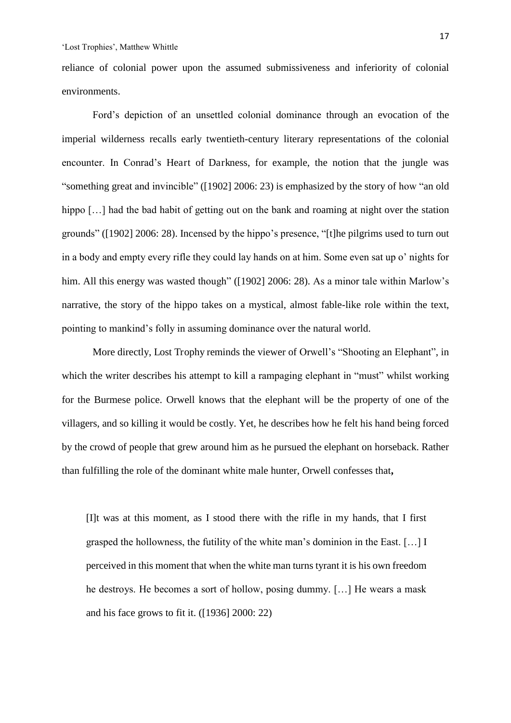reliance of colonial power upon the assumed submissiveness and inferiority of colonial environments.

Ford's depiction of an unsettled colonial dominance through an evocation of the imperial wilderness recalls early twentieth-century literary representations of the colonial encounter. In Conrad's Heart of Darkness, for example, the notion that the jungle was "something great and invincible" ([1902] 2006: 23) is emphasized by the story of how "an old hippo [...] had the bad habit of getting out on the bank and roaming at night over the station grounds" ([1902] 2006: 28). Incensed by the hippo's presence, "[t]he pilgrims used to turn out in a body and empty every rifle they could lay hands on at him. Some even sat up o' nights for him. All this energy was wasted though" ([1902] 2006: 28). As a minor tale within Marlow's narrative, the story of the hippo takes on a mystical, almost fable-like role within the text, pointing to mankind's folly in assuming dominance over the natural world.

More directly, Lost Trophy reminds the viewer of Orwell's "Shooting an Elephant", in which the writer describes his attempt to kill a rampaging elephant in "must" whilst working for the Burmese police. Orwell knows that the elephant will be the property of one of the villagers, and so killing it would be costly. Yet, he describes how he felt his hand being forced by the crowd of people that grew around him as he pursued the elephant on horseback. Rather than fulfilling the role of the dominant white male hunter, Orwell confesses that**,** 

[I]t was at this moment, as I stood there with the rifle in my hands, that I first grasped the hollowness, the futility of the white man's dominion in the East. […] I perceived in this moment that when the white man turns tyrant it is his own freedom he destroys. He becomes a sort of hollow, posing dummy. […] He wears a mask and his face grows to fit it. ([1936] 2000: 22)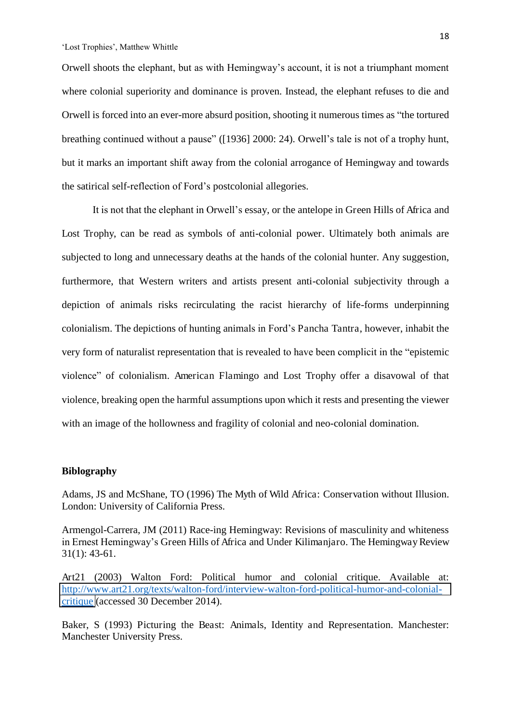Orwell shoots the elephant, but as with Hemingway's account, it is not a triumphant moment where colonial superiority and dominance is proven. Instead, the elephant refuses to die and Orwell is forced into an ever-more absurd position, shooting it numerous times as "the tortured breathing continued without a pause" ([1936] 2000: 24). Orwell's tale is not of a trophy hunt, but it marks an important shift away from the colonial arrogance of Hemingway and towards the satirical self-reflection of Ford's postcolonial allegories.

It is not that the elephant in Orwell's essay, or the antelope in Green Hills of Africa and Lost Trophy, can be read as symbols of anti-colonial power. Ultimately both animals are subjected to long and unnecessary deaths at the hands of the colonial hunter. Any suggestion, furthermore, that Western writers and artists present anti-colonial subjectivity through a depiction of animals risks recirculating the racist hierarchy of life-forms underpinning colonialism. The depictions of hunting animals in Ford's Pancha Tantra, however, inhabit the very form of naturalist representation that is revealed to have been complicit in the "epistemic violence" of colonialism. American Flamingo and Lost Trophy offer a disavowal of that violence, breaking open the harmful assumptions upon which it rests and presenting the viewer with an image of the hollowness and fragility of colonial and neo-colonial domination.

#### **Biblography**

Adams, JS and McShane, TO (1996) The Myth of Wild Africa: Conservation without Illusion. London: University of California Press.

Armengol-Carrera, JM (2011) Race-ing Hemingway: Revisions of masculinity and whiteness in Ernest Hemingway's Green Hills of Africa and Under Kilimanjaro. The Hemingway Review 31(1): 43-61.

Art21 (2003) Walton Ford: Political humor and colonial critique. Available at: [http://www.art21.org/texts/walton-ford/interview-walton-ford-political-humor-and-colonial](http://www.art21.org/texts/walton-ford/interview-walton-ford-political-humor-and-colonial-critique)[critique](http://www.art21.org/texts/walton-ford/interview-walton-ford-political-humor-and-colonial-critique) (accessed 30 December 2014).

Baker, S (1993) Picturing the Beast: Animals, Identity and Representation. Manchester: Manchester University Press.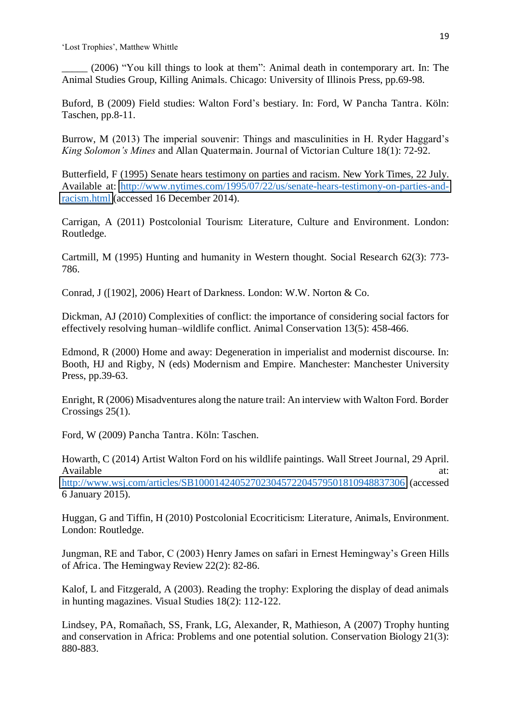'Lost Trophies', Matthew Whittle

\_\_\_\_\_ (2006) "You kill things to look at them": Animal death in contemporary art. In: The Animal Studies Group, Killing Animals. Chicago: University of Illinois Press, pp.69-98.

Buford, B (2009) Field studies: Walton Ford's bestiary. In: Ford, W Pancha Tantra. Köln: Taschen, pp.8-11.

Burrow, M (2013) The imperial souvenir: Things and masculinities in H. Ryder Haggard's *King Solomon's Mines* and Allan Quatermain. Journal of Victorian Culture 18(1): 72-92.

Butterfield, F (1995) Senate hears testimony on parties and racism. New York Times, 22 July. Available at: [http://www.nytimes.com/1995/07/22/us/senate-hears-testimony-on-parties-and](http://www.nytimes.com/1995/07/22/us/senate-hears-testimony-on-parties-and-racism.html)[racism.html](http://www.nytimes.com/1995/07/22/us/senate-hears-testimony-on-parties-and-racism.html) (accessed 16 December 2014).

Carrigan, A (2011) Postcolonial Tourism: Literature, Culture and Environment. London: Routledge.

Cartmill, M (1995) Hunting and humanity in Western thought. Social Research 62(3): 773- 786.

Conrad, J ([1902], 2006) Heart of Darkness. London: W.W. Norton & Co.

Dickman, AJ (2010) Complexities of conflict: the importance of considering social factors for effectively resolving human–wildlife conflict. Animal Conservation 13(5): 458-466.

Edmond, R (2000) Home and away: Degeneration in imperialist and modernist discourse. In: Booth, HJ and Rigby, N (eds) Modernism and Empire. Manchester: Manchester University Press, pp.39-63.

Enright, R (2006) Misadventures along the nature trail: An interview with Walton Ford. Border Crossings 25(1).

Ford, W (2009) Pancha Tantra. Köln: Taschen.

Howarth, C (2014) Artist Walton Ford on his wildlife paintings. Wall Street Journal, 29 April. Available at:  $\overline{a}$  at: <http://www.wsj.com/articles/SB10001424052702304572204579501810948837306>(accessed 6 January 2015).

Huggan, G and Tiffin, H (2010) Postcolonial Ecocriticism: Literature, Animals, Environment. London: Routledge.

Jungman, RE and Tabor, C (2003) Henry James on safari in Ernest Hemingway's Green Hills of Africa. The Hemingway Review 22(2): 82-86.

Kalof, L and Fitzgerald, A (2003). Reading the trophy: Exploring the display of dead animals in hunting magazines. Visual Studies 18(2): 112-122.

Lindsey, PA, Romañach, SS, Frank, LG, Alexander, R, Mathieson, A (2007) Trophy hunting and conservation in Africa: Problems and one potential solution. Conservation Biology 21(3): 880-883.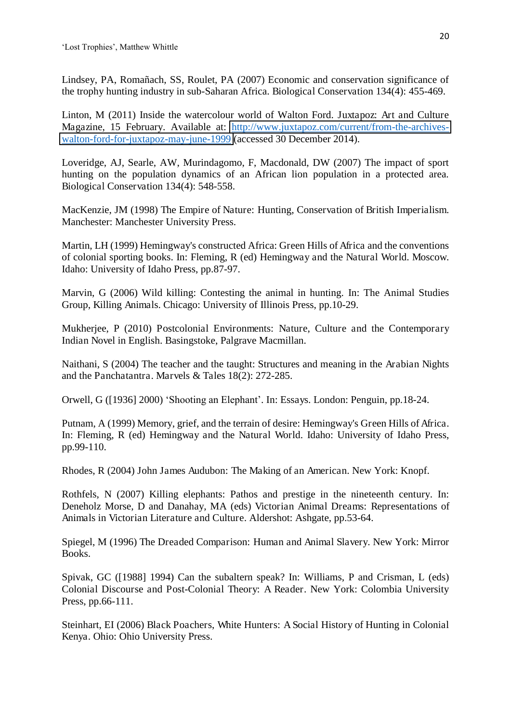Lindsey, PA, Romañach, SS, Roulet, PA (2007) Economic and conservation significance of the trophy hunting industry in sub-Saharan Africa. Biological Conservation 134(4): 455-469.

Linton, M (2011) Inside the watercolour world of Walton Ford. Juxtapoz: Art and Culture Magazine, 15 February. Available at: [http://www.juxtapoz.com/current/from-the-archives](http://www.juxtapoz.com/current/from-the-archives-walton-ford-for-juxtapoz-may-june-1999)[walton-ford-for-juxtapoz-may-june-1999](http://www.juxtapoz.com/current/from-the-archives-walton-ford-for-juxtapoz-may-june-1999) (accessed 30 December 2014).

Loveridge, AJ, Searle, AW, Murindagomo, F, Macdonald, DW (2007) The impact of sport hunting on the population dynamics of an African lion population in a protected area. Biological Conservation 134(4): 548-558.

MacKenzie, JM (1998) The Empire of Nature: Hunting, Conservation of British Imperialism. Manchester: Manchester University Press.

Martin, LH (1999) Hemingway's constructed Africa: Green Hills of Africa and the conventions of colonial sporting books. In: Fleming, R (ed) Hemingway and the Natural World. Moscow. Idaho: University of Idaho Press, pp.87-97.

Marvin, G (2006) Wild killing: Contesting the animal in hunting. In: The Animal Studies Group, Killing Animals. Chicago: University of Illinois Press, pp.10-29.

Mukherjee, P (2010) Postcolonial Environments: Nature, Culture and the Contemporary Indian Novel in English. Basingstoke, Palgrave Macmillan.

Naithani, S (2004) The teacher and the taught: Structures and meaning in the Arabian Nights and the Panchatantra. Marvels & Tales 18(2): 272-285.

Orwell, G ([1936] 2000) 'Shooting an Elephant'. In: Essays. London: Penguin, pp.18-24.

Putnam, A (1999) Memory, grief, and the terrain of desire: Hemingway's Green Hills of Africa. In: Fleming, R (ed) Hemingway and the Natural World. Idaho: University of Idaho Press, pp.99-110.

Rhodes, R (2004) John James Audubon: The Making of an American. New York: Knopf.

Rothfels, N (2007) Killing elephants: Pathos and prestige in the nineteenth century. In: Deneholz Morse, D and Danahay, MA (eds) Victorian Animal Dreams: Representations of Animals in Victorian Literature and Culture. Aldershot: Ashgate, pp.53-64.

Spiegel, M (1996) The Dreaded Comparison: Human and Animal Slavery. New York: Mirror Books.

Spivak, GC ([1988] 1994) Can the subaltern speak? In: Williams, P and Crisman, L (eds) Colonial Discourse and Post-Colonial Theory: A Reader. New York: Colombia University Press, pp.66-111.

Steinhart, EI (2006) Black Poachers, White Hunters: A Social History of Hunting in Colonial Kenya. Ohio: Ohio University Press.